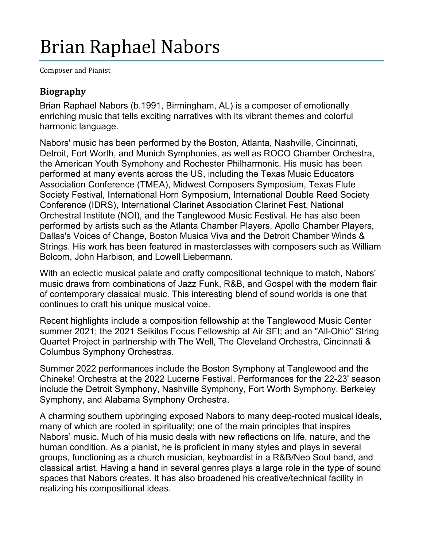## Brian Raphael Nabors

Composer and Pianist

## **Biography**

Brian Raphael Nabors (b.1991, Birmingham, AL) is a composer of emotionally enriching music that tells exciting narratives with its vibrant themes and colorful harmonic language.

Nabors' music has been performed by the Boston, Atlanta, Nashville, Cincinnati, Detroit, Fort Worth, and Munich Symphonies, as well as ROCO Chamber Orchestra, the American Youth Symphony and Rochester Philharmonic. His music has been performed at many events across the US, including the Texas Music Educators Association Conference (TMEA), Midwest Composers Symposium, Texas Flute Society Festival, International Horn Symposium, International Double Reed Society Conference (IDRS), International Clarinet Association Clarinet Fest, National Orchestral Institute (NOI), and the Tanglewood Music Festival. He has also been performed by artists such as the Atlanta Chamber Players, Apollo Chamber Players, Dallas's Voices of Change, Boston Musica Viva and the Detroit Chamber Winds & Strings. His work has been featured in masterclasses with composers such as William Bolcom, John Harbison, and Lowell Liebermann.

With an eclectic musical palate and crafty compositional technique to match, Nabors' music draws from combinations of Jazz Funk, R&B, and Gospel with the modern flair of contemporary classical music. This interesting blend of sound worlds is one that continues to craft his unique musical voice.

Recent highlights include a composition fellowship at the Tanglewood Music Center summer 2021; the 2021 Seikilos Focus Fellowship at Air SFI; and an "All-Ohio" String Quartet Project in partnership with The Well, The Cleveland Orchestra, Cincinnati & Columbus Symphony Orchestras.

Summer 2022 performances include the Boston Symphony at Tanglewood and the Chineke! Orchestra at the 2022 Lucerne Festival. Performances for the 22-23' season include the Detroit Symphony, Nashville Symphony, Fort Worth Symphony, Berkeley Symphony, and Alabama Symphony Orchestra.

A charming southern upbringing exposed Nabors to many deep-rooted musical ideals, many of which are rooted in spirituality; one of the main principles that inspires Nabors' music. Much of his music deals with new reflections on life, nature, and the human condition. As a pianist, he is proficient in many styles and plays in several groups, functioning as a church musician, keyboardist in a R&B/Neo Soul band, and classical artist. Having a hand in several genres plays a large role in the type of sound spaces that Nabors creates. It has also broadened his creative/technical facility in realizing his compositional ideas.